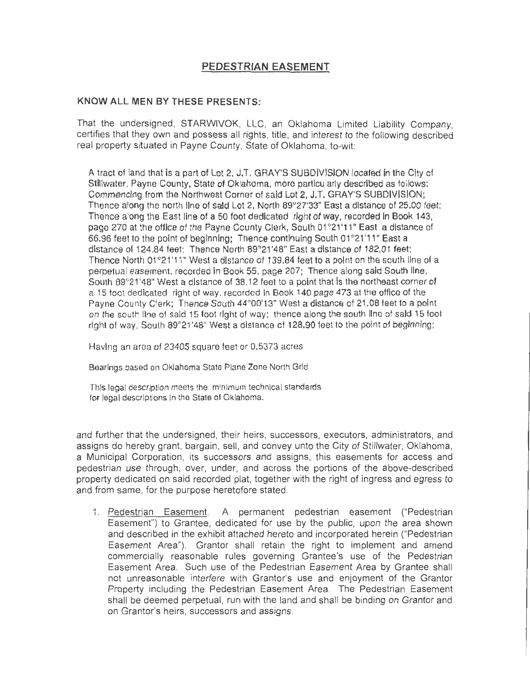## **PEDESTRIAN EASEMENT**

## **KNOW ALL MEN BY THESE PRESENTS:**

That the undersigned, STARWIVOK, LLC, an Oklahoma Limited Liability Company, certifies that they own and possess all rights, title, and interest to the following described real property situated in Payne County, State of Oklahoma, to-wit:

A tract of land that is a part of Lot 2, J.T. GRAY'S SUBDIVISION located in the City of Stillwater, Payne County, State of Oklahoma, more particularly described as follows: Commencing from the Northwest Corner of said Lot 2, J.T. GRAY'S SUBDIVISION; Thence along the north line of said Lot 2, North 89°27'33" East a distance of 25,00 feet; Thence along the East line of a 50 foot dedicated right of way, recorded in Book 143, page 270 at the office of the Payne County Clerk, South 01°21'11" East a distance of 66.96 feet to the point of beginning; Thence continuing South 01°21'11" East a distance of 124.84 feet; Thence North 89°21'48" East a distance of 182.01 feet: Thence North 01°21'11" West a distance of 139.84 feet to a point on the south line of a perpetual easement. recorded In Book 55, page 207; Thence along said South line, South 89°21'48" West a distance of 38.12 feet to a point that is the northeast corner of a 15 toot dedicated right of way, recorded In Book 140 page 473 at the office of the Payne County Clerk; Thence South 44°00'13" West a distance of 21.08 feet to a point on the south line of said 15 foot right of way; thence along the south line of said 15 foot right of way, South 89°21'48" West a distance of 128.90 feet to the point of beginning;

Having an area of 23405 square feet or 0.5373 acres

Bearlngs based on Oklahoma State Plane Zone North Grid

This legal description meets the minimum technical standards for legal descriptions in the State of Oklahoma.

and further that the undersigned, their heirs, successors, executors, administrators , and assigns do hereby grant, bargain, sell, and convey unto the City of Stillwater, Oklahoma, a Municipal Corporation, its successors and assigns, this easements for access and pedestrian use through, over, under, and across the portions of the above-described property dedicated on said recorded plat, together with the right of ingress and egress to and from same, for the purpose heretofore stated.

1. Pedestrian Easement. A permanent pedestrian easement ("Pedestrian Easement") to Grantee, dedicated for use by the public, upon the area shown and described in the exhibit attached hereto and incorporated herein ("Pedestrian Easement Area"). Grantor shall retain the right to implement and amend commercially reasonable rules governing Grantee's use of the Pedestrian Easement Area. Such use of the Pedestrian Easement Area by Grantee shall not unreasonable interfere with Grantor's use and enjoyment of the Granter Property including the Pedestrian Easement Area. The Pedestrian Easement shall be deemed perpetual, run with the land and shall be binding on Grantor and on Grantor's heirs, successors and assigns.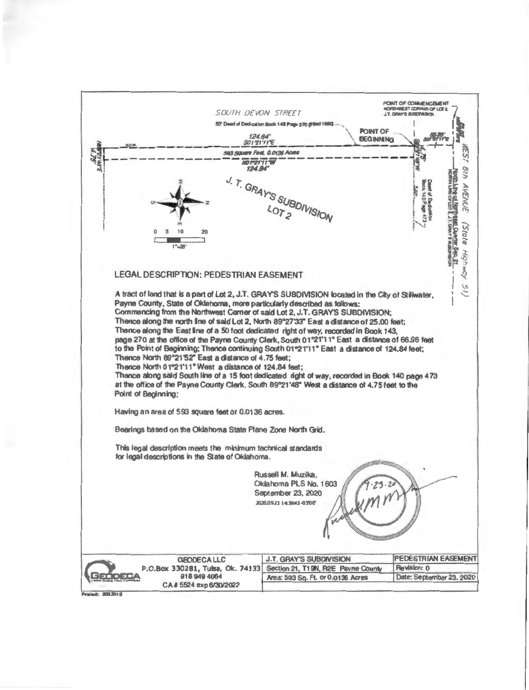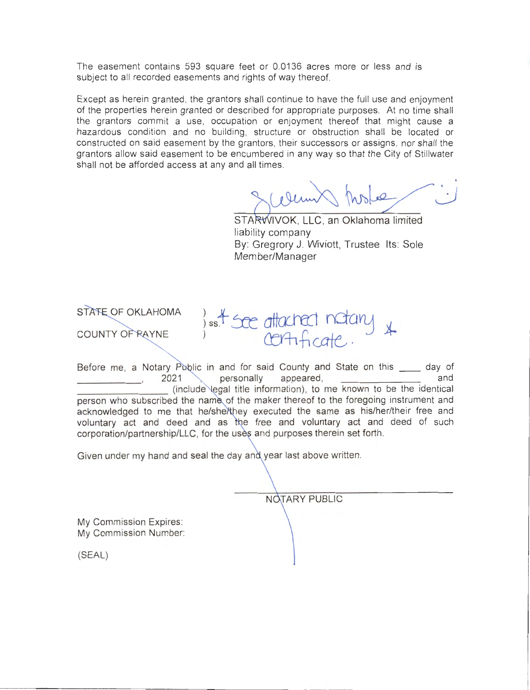The easement contains 593 square feet or 0.0136 acres more or less and is subject to all recorded easements and rights of way thereof.

Except as herein granted, the grantors shall continue to have the full use and enjoyment of the properties herein granted or described for appropriate purposes. At no time shall the grantors commit a use, occupation or enjoyment thereof that might cause a hazardous condition and no building , structure or obstruction shall be located or constructed on said easement by the grantors, their successors or assigns, nor shall the grantors allow said easement to be encumbered in any way so that the City of Stillwater shall not be afforded access at any and all times.

STARWIVOK, LLC, an Oklahoma limited  $\overline{a}$ 

liability company By: Gregrory J. Wiviott, Trustee Its: Sole Member/Manager

STATE OF OKLAHOMA ) ss. t see attached notary \* COUNTY OF RAYNE Before me, a Notary P lie in and for said County and State on this \_\_ day of

personally appeared, (include legal title information), to me known to be the identical person who subscribed the name of the maker thereof to the foregoing instrument and acknowledged to me that he/she/they executed the same as his/her/their free and voluntary act and deed and as the free and voluntary act and deed of such corporation/partnership/LLC, for the uses and purposes therein set forth.

Given under my hand and seal the day and year last above written.

NOTARY PUBLIC

My Commission Expires: My Commission Number:

(SEAL)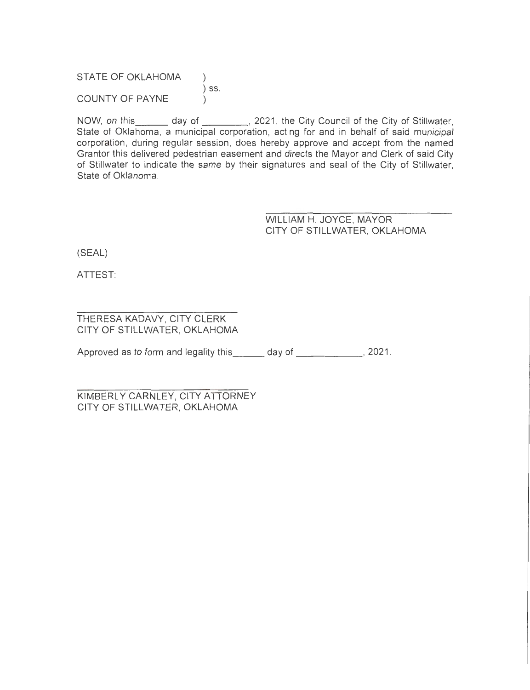STATE OF OKLAHOMA ) ) SS. COUNTY OF PAYNE

NOW, on this day of day of 1021, the City Council of the City of Stillwater, State of Oklahoma, a municipal corporation, acting for and in behalf of said municipal corporation, during regular session, does hereby approve and accept from the named Grantor this delivered pedestrian easement and directs the Mayor and Clerk of said City of Stillwater to indicate the same by their signatures and seal of the City of Stillwater, State of Oklahoma.

> WILLIAM H. JOYCE, MAYOR CITY OF STILLWATER, OKLAHOMA

(SEAL)

ATTEST:

## THERESA KADAVY, CITY CLERK CITY OF STILLWATER, OKLAHOMA

Approved as to form and legality this \_\_\_\_\_ day of \_\_\_\_\_\_\_\_\_\_\_\_, 2021.

KIMBERLY CARNLEY, CITY ATTORNEY CITY OF STILLWATER, OKLAHOMA